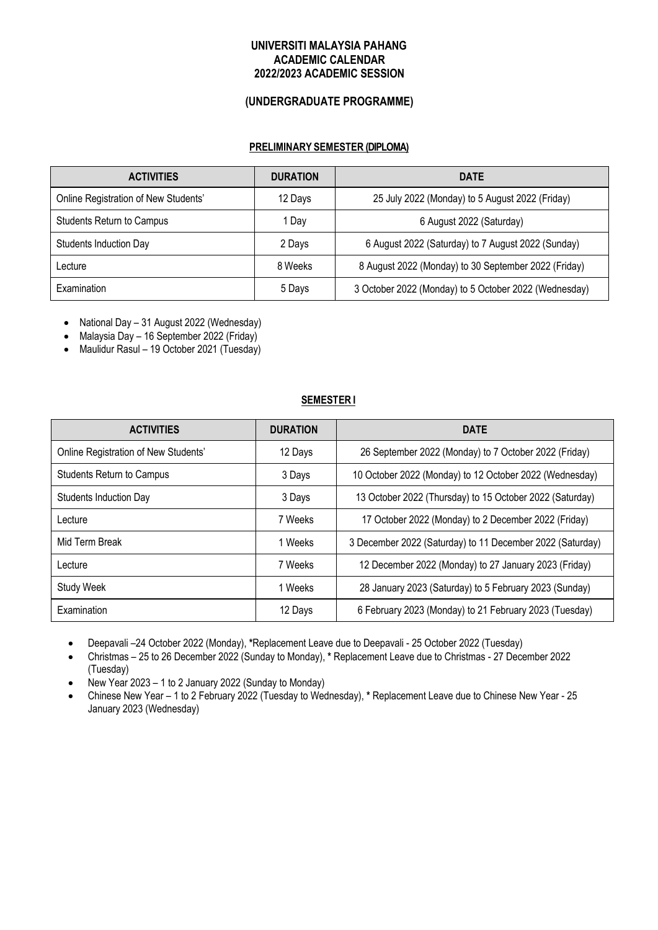## **UNIVERSITI MALAYSIA PAHANG ACADEMIC CALENDAR 2022/2023 ACADEMIC SESSION**

## **(UNDERGRADUATE PROGRAMME)**

## **PRELIMINARY SEMESTER (DIPLOMA)**

| <b>ACTIVITIES</b>                    | <b>DURATION</b> | <b>DATE</b>                                           |
|--------------------------------------|-----------------|-------------------------------------------------------|
| Online Registration of New Students' | 12 Days         | 25 July 2022 (Monday) to 5 August 2022 (Friday)       |
| <b>Students Return to Campus</b>     | 1 Dav           | 6 August 2022 (Saturday)                              |
| <b>Students Induction Day</b>        | 2 Days          | 6 August 2022 (Saturday) to 7 August 2022 (Sunday)    |
| Lecture                              | 8 Weeks         | 8 August 2022 (Monday) to 30 September 2022 (Friday)  |
| Examination                          | 5 Days          | 3 October 2022 (Monday) to 5 October 2022 (Wednesday) |

- National Day 31 August 2022 (Wednesday)
- Malaysia Day 16 September 2022 (Friday)
- Maulidur Rasul 19 October 2021 (Tuesday)

#### **SEMESTER I**

| <b>ACTIVITIES</b>                    | <b>DURATION</b> | <b>DATE</b>                                               |
|--------------------------------------|-----------------|-----------------------------------------------------------|
| Online Registration of New Students' | 12 Days         | 26 September 2022 (Monday) to 7 October 2022 (Friday)     |
| <b>Students Return to Campus</b>     | 3 Days          | 10 October 2022 (Monday) to 12 October 2022 (Wednesday)   |
| Students Induction Day               | 3 Days          | 13 October 2022 (Thursday) to 15 October 2022 (Saturday)  |
| Lecture                              | 7 Weeks         | 17 October 2022 (Monday) to 2 December 2022 (Friday)      |
| Mid Term Break                       | 1 Weeks         | 3 December 2022 (Saturday) to 11 December 2022 (Saturday) |
| Lecture                              | 7 Weeks         | 12 December 2022 (Monday) to 27 January 2023 (Friday)     |
| <b>Study Week</b>                    | 1 Weeks         | 28 January 2023 (Saturday) to 5 February 2023 (Sunday)    |
| Examination                          | 12 Days         | 6 February 2023 (Monday) to 21 February 2023 (Tuesday)    |

• Deepavali –24 October 2022 (Monday), **\***Replacement Leave due to Deepavali - 25 October 2022 (Tuesday)

• Christmas – 25 to 26 December 2022 (Sunday to Monday), **\*** Replacement Leave due to Christmas - 27 December 2022 (Tuesday)

- New Year 2023 1 to 2 January 2022 (Sunday to Monday)
- Chinese New Year 1 to 2 February 2022 (Tuesday to Wednesday), **\*** Replacement Leave due to Chinese New Year 25 January 2023 (Wednesday)